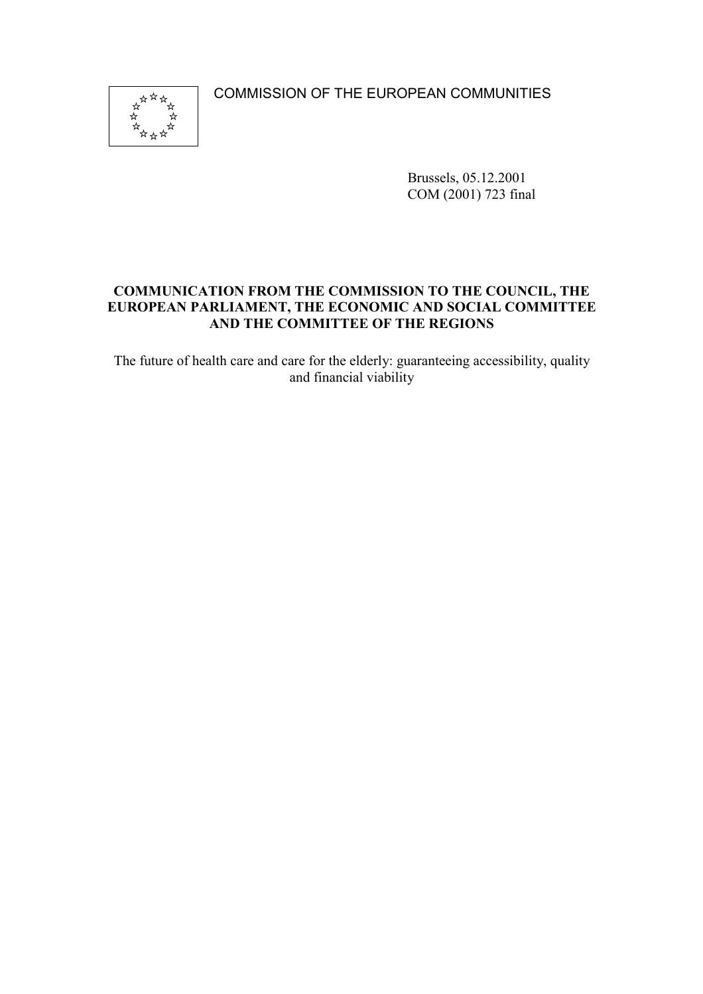COMMISSION OF THE EUROPEAN COMMUNITIES



Brussels, 05.12.2001 COM (2001) 723 final

### **COMMUNICATION FROM THE COMMISSION TO THE COUNCIL, THE EUROPEAN PARLIAMENT, THE ECONOMIC AND SOCIAL COMMITTEE AND THE COMMITTEE OF THE REGIONS**

The future of health care and care for the elderly: guaranteeing accessibility, quality and financial viability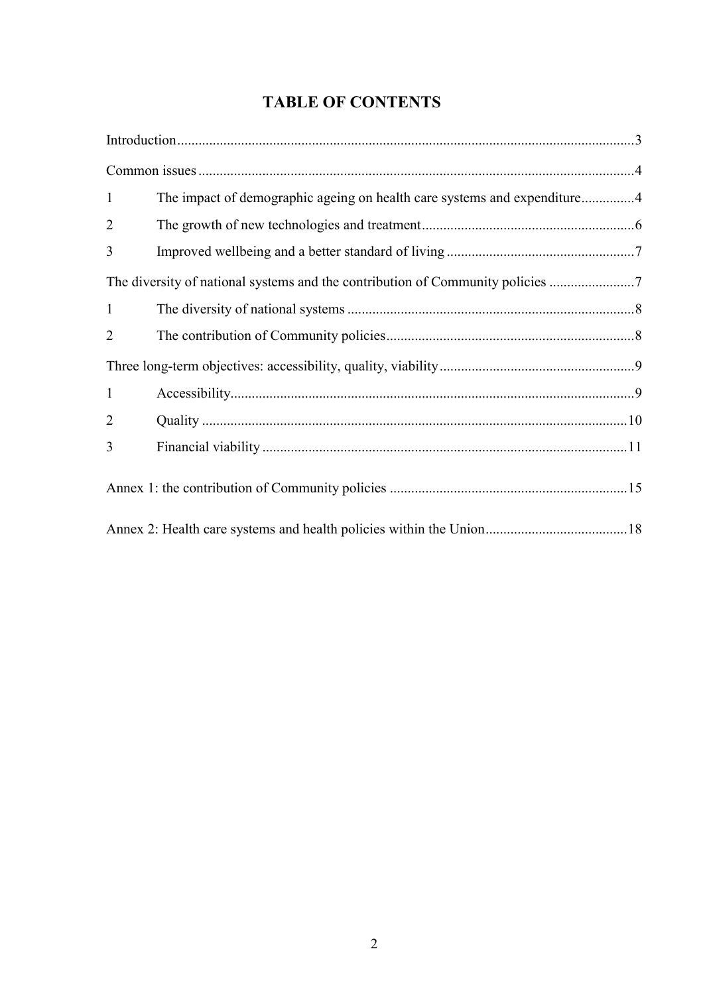# **TABLE OF CONTENTS**

| $\mathbf{1}$   | The impact of demographic ageing on health care systems and expenditure4     |  |
|----------------|------------------------------------------------------------------------------|--|
| $\overline{2}$ |                                                                              |  |
| 3              |                                                                              |  |
|                | The diversity of national systems and the contribution of Community policies |  |
| $\mathbf{1}$   |                                                                              |  |
| $\overline{2}$ |                                                                              |  |
|                |                                                                              |  |
| $\mathbf{1}$   |                                                                              |  |
| $\overline{2}$ |                                                                              |  |
| 3              |                                                                              |  |
|                |                                                                              |  |
|                |                                                                              |  |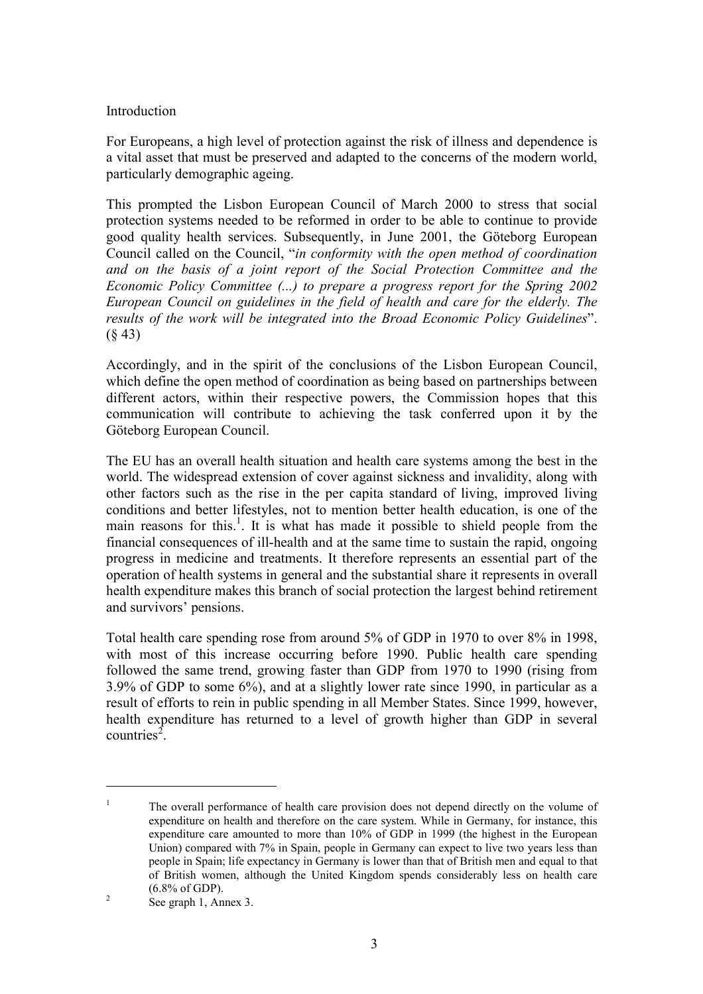#### Introduction

For Europeans, a high level of protection against the risk of illness and dependence is a vital asset that must be preserved and adapted to the concerns of the modern world, particularly demographic ageing.

This prompted the Lisbon European Council of March 2000 to stress that social protection systems needed to be reformed in order to be able to continue to provide good quality health services. Subsequently, in June 2001, the Göteborg European Council called on the Council, "*in conformity with the open method of coordination and on the basis of a joint report of the Social Protection Committee and the Economic Policy Committee (...) to prepare a progress report for the Spring 2002 European Council on guidelines in the field of health and care for the elderly. The results of the work will be integrated into the Broad Economic Policy Guidelines*".  $(843)$ 

Accordingly, and in the spirit of the conclusions of the Lisbon European Council, which define the open method of coordination as being based on partnerships between different actors, within their respective powers, the Commission hopes that this communication will contribute to achieving the task conferred upon it by the Göteborg European Council.

The EU has an overall health situation and health care systems among the best in the world. The widespread extension of cover against sickness and invalidity, along with other factors such as the rise in the per capita standard of living, improved living conditions and better lifestyles, not to mention better health education, is one of the main reasons for this.<sup>1</sup>. It is what has made it possible to shield people from the financial consequences of ill-health and at the same time to sustain the rapid, ongoing progress in medicine and treatments. It therefore represents an essential part of the operation of health systems in general and the substantial share it represents in overall health expenditure makes this branch of social protection the largest behind retirement and survivors' pensions.

Total health care spending rose from around 5% of GDP in 1970 to over 8% in 1998, with most of this increase occurring before 1990. Public health care spending followed the same trend, growing faster than GDP from 1970 to 1990 (rising from 3.9% of GDP to some 6%), and at a slightly lower rate since 1990, in particular as a result of efforts to rein in public spending in all Member States. Since 1999, however, health expenditure has returned to a level of growth higher than GDP in several countries<sup>2</sup>.

<sup>&</sup>lt;sup>1</sup> The overall performance of health care provision does not depend directly on the volume of expenditure on health and therefore on the care system. While in Germany, for instance, this expenditure care amounted to more than 10% of GDP in 1999 (the highest in the European Union) compared with 7% in Spain, people in Germany can expect to live two years less than people in Spain; life expectancy in Germany is lower than that of British men and equal to that of British women, although the United Kingdom spends considerably less on health care  $(6.8\% \text{ of GDP})$ .<br><sup>2</sup> See graph 1, Annex 3.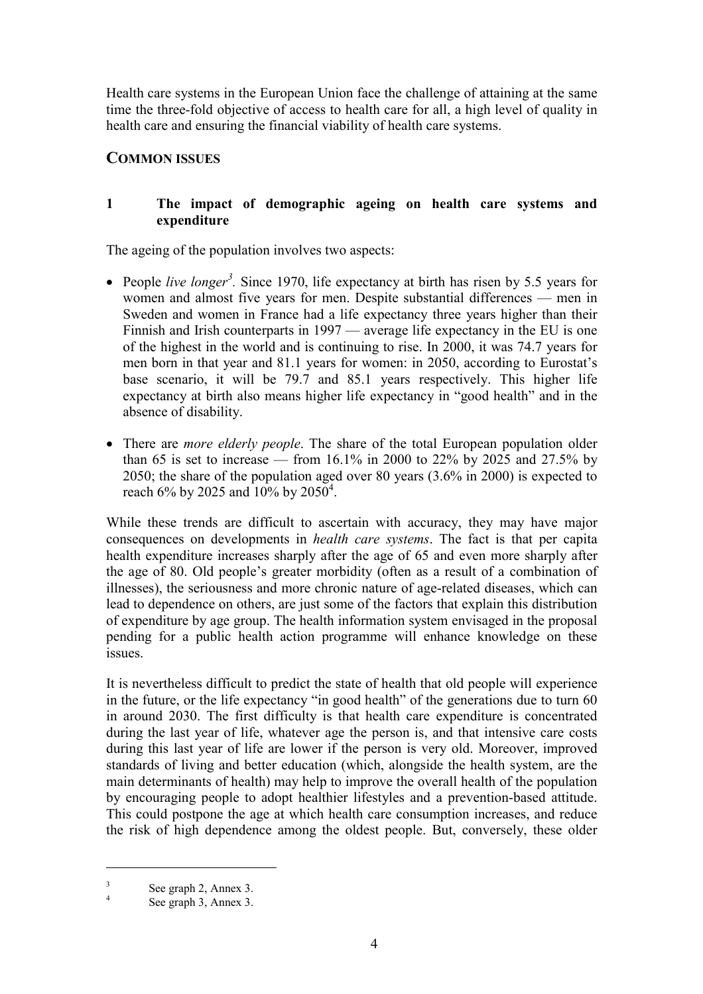Health care systems in the European Union face the challenge of attaining at the same time the three-fold objective of access to health care for all, a high level of quality in health care and ensuring the financial viability of health care systems.

# **COMMON ISSUES**

## **1 The impact of demographic ageing on health care systems and expenditure**

The ageing of the population involves two aspects:

- People *live longer<sup>3</sup>*. Since 1970, life expectancy at birth has risen by 5.5 years for women and almost five years for men. Despite substantial differences — men in Sweden and women in France had a life expectancy three years higher than their Finnish and Irish counterparts in 1997 — average life expectancy in the EU is one of the highest in the world and is continuing to rise. In 2000, it was 74.7 years for men born in that year and 81.1 years for women: in 2050, according to Eurostat's base scenario, it will be 79.7 and 85.1 years respectively. This higher life expectancy at birth also means higher life expectancy in "good health" and in the absence of disability.
- There are *more elderly people*. The share of the total European population older than 65 is set to increase — from 16.1% in 2000 to 22% by 2025 and 27.5% by 2050; the share of the population aged over 80 years (3.6% in 2000) is expected to reach 6% by 2025 and 10% by 2050<sup>4</sup>.

While these trends are difficult to ascertain with accuracy, they may have major consequences on developments in *health care systems*. The fact is that per capita health expenditure increases sharply after the age of 65 and even more sharply after the age of 80. Old people's greater morbidity (often as a result of a combination of illnesses), the seriousness and more chronic nature of age-related diseases, which can lead to dependence on others, are just some of the factors that explain this distribution of expenditure by age group. The health information system envisaged in the proposal pending for a public health action programme will enhance knowledge on these issues.

It is nevertheless difficult to predict the state of health that old people will experience in the future, or the life expectancy "in good health" of the generations due to turn 60 in around 2030. The first difficulty is that health care expenditure is concentrated during the last year of life, whatever age the person is, and that intensive care costs during this last year of life are lower if the person is very old. Moreover, improved standards of living and better education (which, alongside the health system, are the main determinants of health) may help to improve the overall health of the population by encouraging people to adopt healthier lifestyles and a prevention-based attitude. This could postpone the age at which health care consumption increases, and reduce the risk of high dependence among the oldest people. But, conversely, these older

 $\frac{3}{4}$  See graph 2, Annex 3.<br>See graph 3, Annex 3.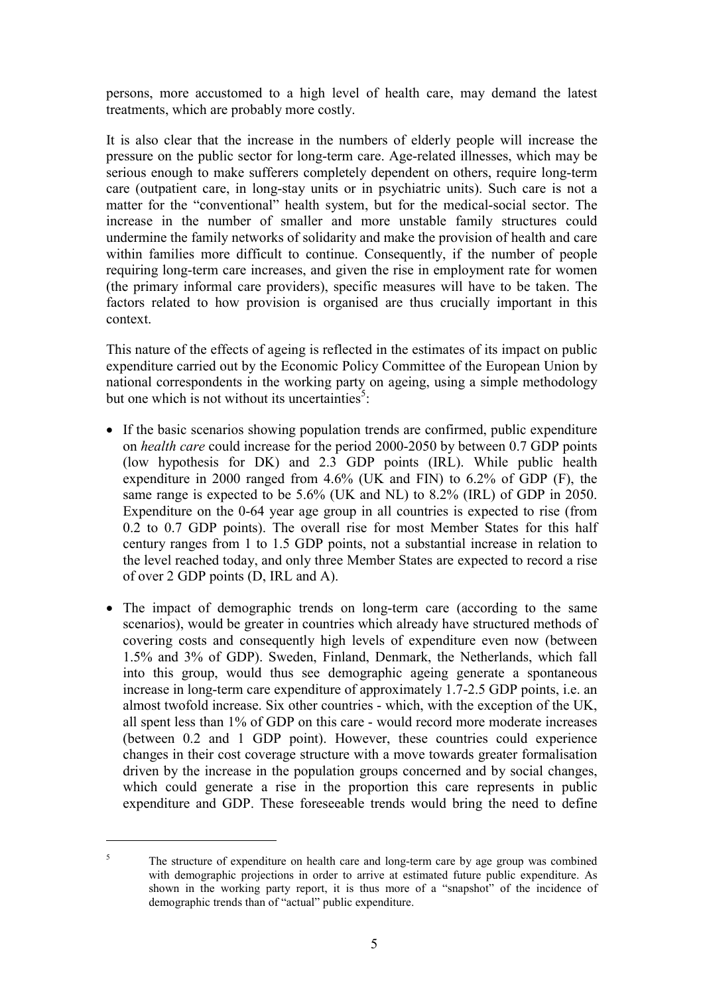persons, more accustomed to a high level of health care, may demand the latest treatments, which are probably more costly.

It is also clear that the increase in the numbers of elderly people will increase the pressure on the public sector for long-term care. Age-related illnesses, which may be serious enough to make sufferers completely dependent on others, require long-term care (outpatient care, in long-stay units or in psychiatric units). Such care is not a matter for the "conventional" health system, but for the medical-social sector. The increase in the number of smaller and more unstable family structures could undermine the family networks of solidarity and make the provision of health and care within families more difficult to continue. Consequently, if the number of people requiring long-term care increases, and given the rise in employment rate for women (the primary informal care providers), specific measures will have to be taken. The factors related to how provision is organised are thus crucially important in this context.

This nature of the effects of ageing is reflected in the estimates of its impact on public expenditure carried out by the Economic Policy Committee of the European Union by national correspondents in the working party on ageing, using a simple methodology but one which is not without its uncertainties<sup>5</sup>:

- If the basic scenarios showing population trends are confirmed, public expenditure on *health care* could increase for the period 2000-2050 by between 0.7 GDP points (low hypothesis for DK) and 2.3 GDP points (IRL). While public health expenditure in 2000 ranged from 4.6% (UK and FIN) to 6.2% of GDP (F), the same range is expected to be 5.6% (UK and NL) to 8.2% (IRL) of GDP in 2050. Expenditure on the 0-64 year age group in all countries is expected to rise (from 0.2 to 0.7 GDP points). The overall rise for most Member States for this half century ranges from 1 to 1.5 GDP points, not a substantial increase in relation to the level reached today, and only three Member States are expected to record a rise of over 2 GDP points (D, IRL and A).
- The impact of demographic trends on long-term care (according to the same scenarios), would be greater in countries which already have structured methods of covering costs and consequently high levels of expenditure even now (between 1.5% and 3% of GDP). Sweden, Finland, Denmark, the Netherlands, which fall into this group, would thus see demographic ageing generate a spontaneous increase in long-term care expenditure of approximately 1.7-2.5 GDP points, i.e. an almost twofold increase. Six other countries - which, with the exception of the UK, all spent less than 1% of GDP on this care - would record more moderate increases (between 0.2 and 1 GDP point). However, these countries could experience changes in their cost coverage structure with a move towards greater formalisation driven by the increase in the population groups concerned and by social changes, which could generate a rise in the proportion this care represents in public expenditure and GDP. These foreseeable trends would bring the need to define

<sup>&</sup>lt;sup>5</sup> The structure of expenditure on health care and long-term care by age group was combined with demographic projections in order to arrive at estimated future public expenditure. As shown in the working party report, it is thus more of a "snapshot" of the incidence of demographic trends than of "actual" public expenditure.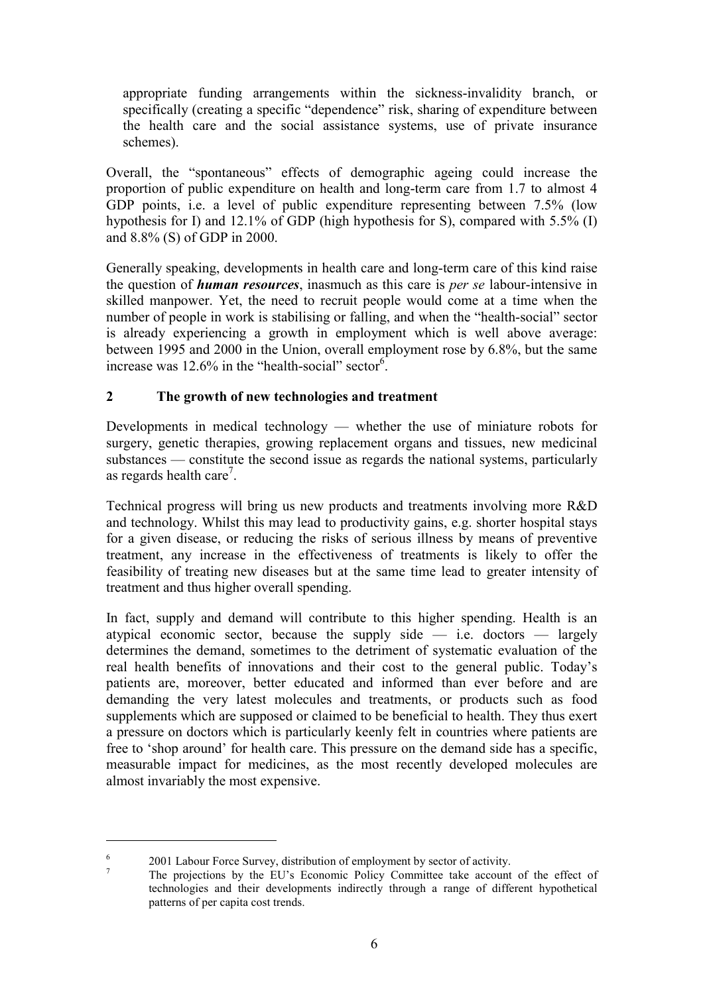appropriate funding arrangements within the sickness-invalidity branch, or specifically (creating a specific "dependence" risk, sharing of expenditure between the health care and the social assistance systems, use of private insurance schemes).

Overall, the "spontaneous" effects of demographic ageing could increase the proportion of public expenditure on health and long-term care from 1.7 to almost 4 GDP points, i.e. a level of public expenditure representing between 7.5% (low hypothesis for I) and 12.1% of GDP (high hypothesis for S), compared with 5.5% (I) and 8.8% (S) of GDP in 2000.

Generally speaking, developments in health care and long-term care of this kind raise the question of *human resources*, inasmuch as this care is *per se* labour-intensive in skilled manpower. Yet, the need to recruit people would come at a time when the number of people in work is stabilising or falling, and when the "health-social" sector is already experiencing a growth in employment which is well above average: between 1995 and 2000 in the Union, overall employment rose by 6.8%, but the same increase was 12.6% in the "health-social" sector<sup>6</sup>.

### **2 The growth of new technologies and treatment**

Developments in medical technology — whether the use of miniature robots for surgery, genetic therapies, growing replacement organs and tissues, new medicinal substances — constitute the second issue as regards the national systems, particularly as regards health care<sup>7</sup>.

Technical progress will bring us new products and treatments involving more R&D and technology. Whilst this may lead to productivity gains, e.g. shorter hospital stays for a given disease, or reducing the risks of serious illness by means of preventive treatment, any increase in the effectiveness of treatments is likely to offer the feasibility of treating new diseases but at the same time lead to greater intensity of treatment and thus higher overall spending.

In fact, supply and demand will contribute to this higher spending. Health is an atypical economic sector, because the supply side  $-$  i.e. doctors  $-$  largely determines the demand, sometimes to the detriment of systematic evaluation of the real health benefits of innovations and their cost to the general public. Today's patients are, moreover, better educated and informed than ever before and are demanding the very latest molecules and treatments, or products such as food supplements which are supposed or claimed to be beneficial to health. They thus exert a pressure on doctors which is particularly keenly felt in countries where patients are free to 'shop around' for health care. This pressure on the demand side has a specific, measurable impact for medicines, as the most recently developed molecules are almost invariably the most expensive.

<sup>&</sup>lt;sup>6</sup> 2001 Labour Force Survey, distribution of employment by sector of activity.<br><sup>7</sup> The projections by the EU's Economic Policy Committee take account of the effect of technologies and their developments indirectly through a range of different hypothetical patterns of per capita cost trends.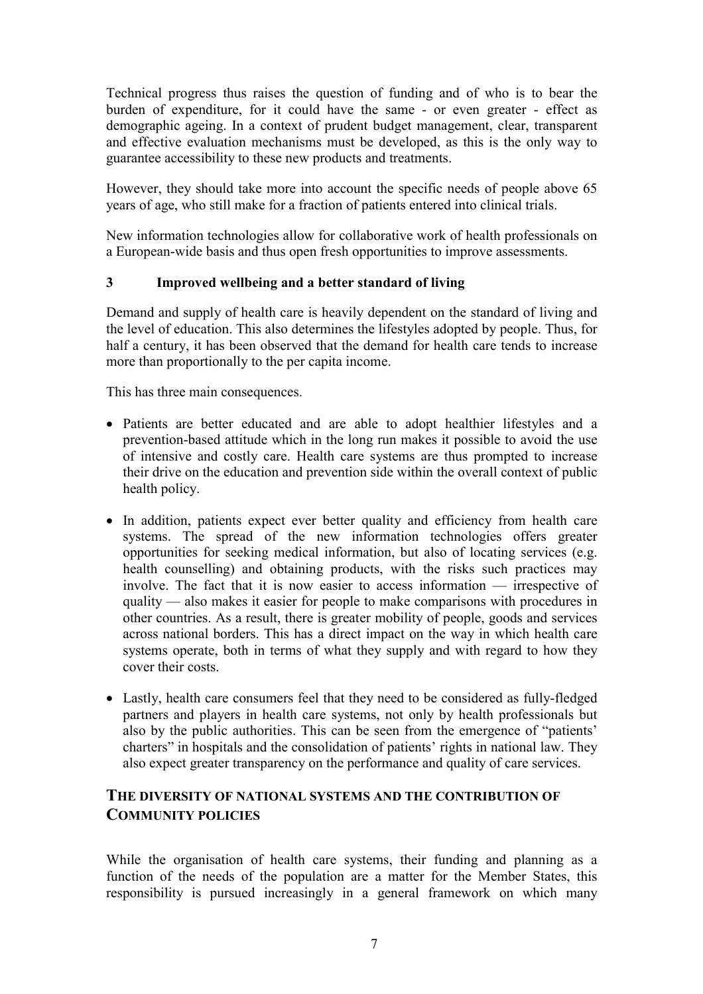Technical progress thus raises the question of funding and of who is to bear the burden of expenditure, for it could have the same - or even greater - effect as demographic ageing. In a context of prudent budget management, clear, transparent and effective evaluation mechanisms must be developed, as this is the only way to guarantee accessibility to these new products and treatments.

However, they should take more into account the specific needs of people above 65 years of age, who still make for a fraction of patients entered into clinical trials.

New information technologies allow for collaborative work of health professionals on a European-wide basis and thus open fresh opportunities to improve assessments.

### **3 Improved wellbeing and a better standard of living**

Demand and supply of health care is heavily dependent on the standard of living and the level of education. This also determines the lifestyles adopted by people. Thus, for half a century, it has been observed that the demand for health care tends to increase more than proportionally to the per capita income.

This has three main consequences.

- Patients are better educated and are able to adopt healthier lifestyles and a prevention-based attitude which in the long run makes it possible to avoid the use of intensive and costly care. Health care systems are thus prompted to increase their drive on the education and prevention side within the overall context of public health policy.
- In addition, patients expect ever better quality and efficiency from health care systems. The spread of the new information technologies offers greater opportunities for seeking medical information, but also of locating services (e.g. health counselling) and obtaining products, with the risks such practices may involve. The fact that it is now easier to access information — irrespective of quality — also makes it easier for people to make comparisons with procedures in other countries. As a result, there is greater mobility of people, goods and services across national borders. This has a direct impact on the way in which health care systems operate, both in terms of what they supply and with regard to how they cover their costs.
- Lastly, health care consumers feel that they need to be considered as fully-fledged partners and players in health care systems, not only by health professionals but also by the public authorities. This can be seen from the emergence of "patients' charters" in hospitals and the consolidation of patients' rights in national law. They also expect greater transparency on the performance and quality of care services.

# **THE DIVERSITY OF NATIONAL SYSTEMS AND THE CONTRIBUTION OF COMMUNITY POLICIES**

While the organisation of health care systems, their funding and planning as a function of the needs of the population are a matter for the Member States, this responsibility is pursued increasingly in a general framework on which many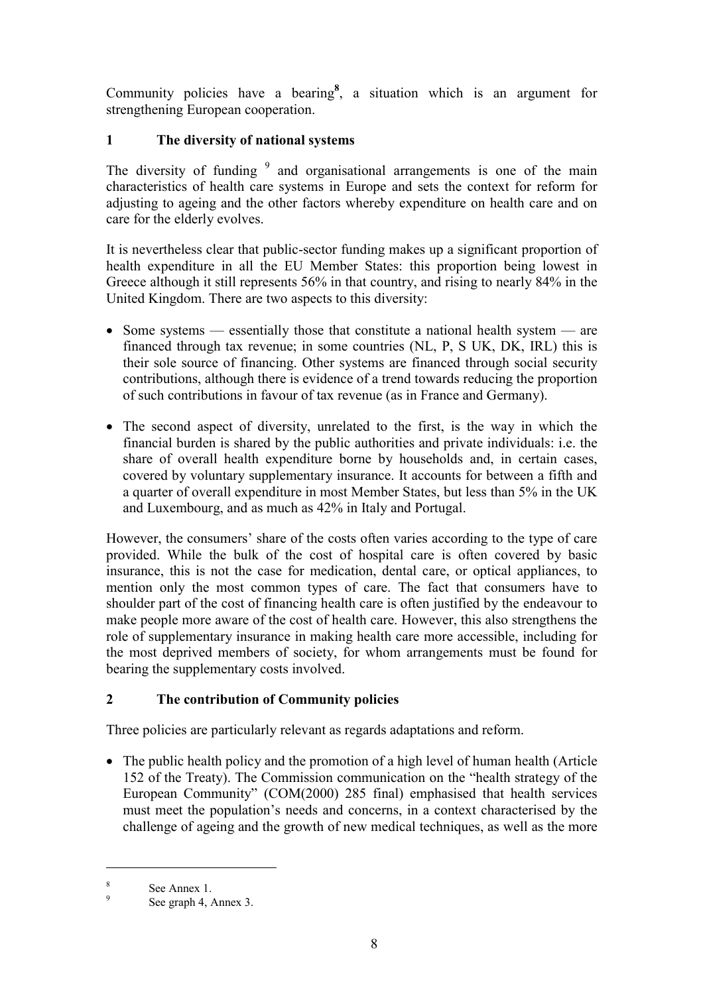Community policies have a bearing**<sup>8</sup>** , a situation which is an argument for strengthening European cooperation.

# **1 The diversity of national systems**

The diversity of funding  $9$  and organisational arrangements is one of the main characteristics of health care systems in Europe and sets the context for reform for adjusting to ageing and the other factors whereby expenditure on health care and on care for the elderly evolves.

It is nevertheless clear that public-sector funding makes up a significant proportion of health expenditure in all the EU Member States: this proportion being lowest in Greece although it still represents 56% in that country, and rising to nearly 84% in the United Kingdom. There are two aspects to this diversity:

- Some systems essentially those that constitute a national health system are financed through tax revenue; in some countries (NL, P, S UK, DK, IRL) this is their sole source of financing. Other systems are financed through social security contributions, although there is evidence of a trend towards reducing the proportion of such contributions in favour of tax revenue (as in France and Germany).
- The second aspect of diversity, unrelated to the first, is the way in which the financial burden is shared by the public authorities and private individuals: i.e. the share of overall health expenditure borne by households and, in certain cases, covered by voluntary supplementary insurance. It accounts for between a fifth and a quarter of overall expenditure in most Member States, but less than 5% in the UK and Luxembourg, and as much as 42% in Italy and Portugal.

However, the consumers' share of the costs often varies according to the type of care provided. While the bulk of the cost of hospital care is often covered by basic insurance, this is not the case for medication, dental care, or optical appliances, to mention only the most common types of care. The fact that consumers have to shoulder part of the cost of financing health care is often justified by the endeavour to make people more aware of the cost of health care. However, this also strengthens the role of supplementary insurance in making health care more accessible, including for the most deprived members of society, for whom arrangements must be found for bearing the supplementary costs involved.

# **2 The contribution of Community policies**

Three policies are particularly relevant as regards adaptations and reform.

 The public health policy and the promotion of a high level of human health (Article 152 of the Treaty). The Commission communication on the "health strategy of the European Community" (COM(2000) 285 final) emphasised that health services must meet the population's needs and concerns, in a context characterised by the challenge of ageing and the growth of new medical techniques, as well as the more

 $\frac{8}{9}$  See Annex 1.<br>See graph 4, Annex 3.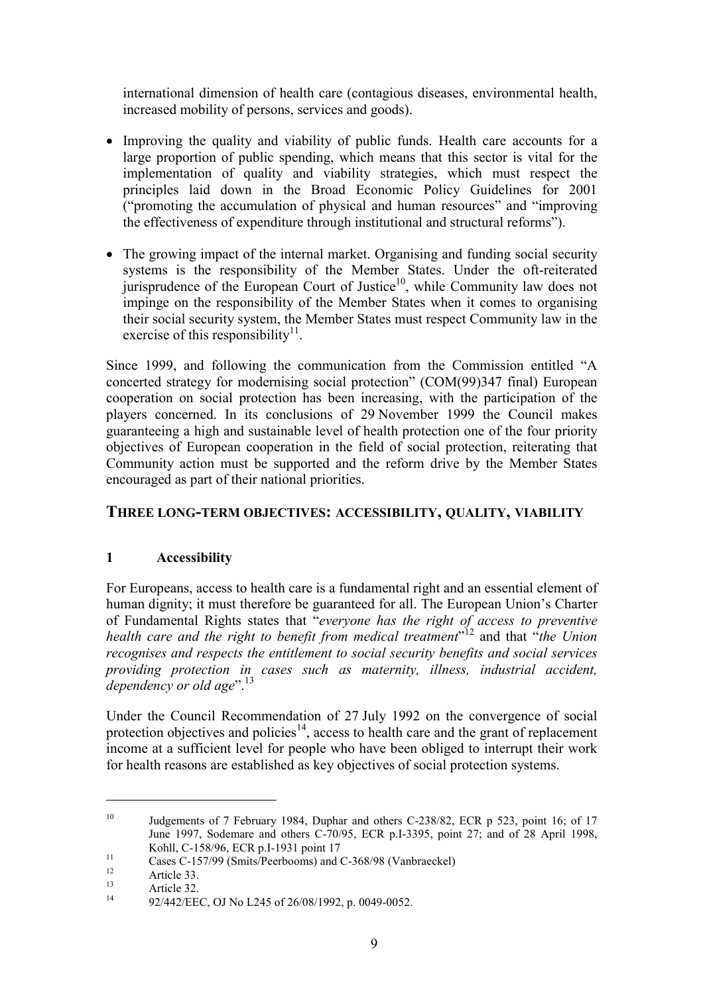international dimension of health care (contagious diseases, environmental health, increased mobility of persons, services and goods).

- Improving the quality and viability of public funds. Health care accounts for a large proportion of public spending, which means that this sector is vital for the implementation of quality and viability strategies, which must respect the principles laid down in the Broad Economic Policy Guidelines for 2001 ("promoting the accumulation of physical and human resources" and "improving the effectiveness of expenditure through institutional and structural reforms").
- The growing impact of the internal market. Organising and funding social security systems is the responsibility of the Member States. Under the oft-reiterated jurisprudence of the European Court of Justice<sup>10</sup>, while Community law does not impinge on the responsibility of the Member States when it comes to organising their social security system, the Member States must respect Community law in the exercise of this responsibility<sup>11</sup>.

Since 1999, and following the communication from the Commission entitled "A concerted strategy for modernising social protection" (COM(99)347 final) European cooperation on social protection has been increasing, with the participation of the players concerned. In its conclusions of 29 November 1999 the Council makes guaranteeing a high and sustainable level of health protection one of the four priority objectives of European cooperation in the field of social protection, reiterating that Community action must be supported and the reform drive by the Member States encouraged as part of their national priorities.

# **THREE LONG-TERM OBJECTIVES: ACCESSIBILITY, QUALITY, VIABILITY**

### **1 Accessibility**

For Europeans, access to health care is a fundamental right and an essential element of human dignity; it must therefore be guaranteed for all. The European Union's Charter of Fundamental Rights states that "*everyone has the right of access to preventive health care and the right to benefit from medical treatment*" 12 and that "*the Union recognises and respects the entitlement to social security benefits and social services providing protection in cases such as maternity, illness, industrial accident, dependency or old age*".<sup>13</sup>

Under the Council Recommendation of 27 July 1992 on the convergence of social protection objectives and policies<sup>14</sup>, access to health care and the grant of replacement income at a sufficient level for people who have been obliged to interrupt their work for health reasons are established as key objectives of social protection systems.

<sup>&</sup>lt;sup>10</sup> Judgements of 7 February 1984, Duphar and others C-238/82, ECR p 523, point 16; of 17 June 1997, Sodemare and others C-70/95, ECR p.I-3395, point 27; and of 28 April 1998, Kohll, C-158/96, ECR p.I-1931 point 17

The cases C-157/99 (Smits/Peerbooms) and C-368/98 (Vanbraeckel)<br>
12 12 Article 33.<br>
13 Article 32.<br>
14 92/442/EEC, OJ No L245 of 26/08/1992, p. 0049-0052.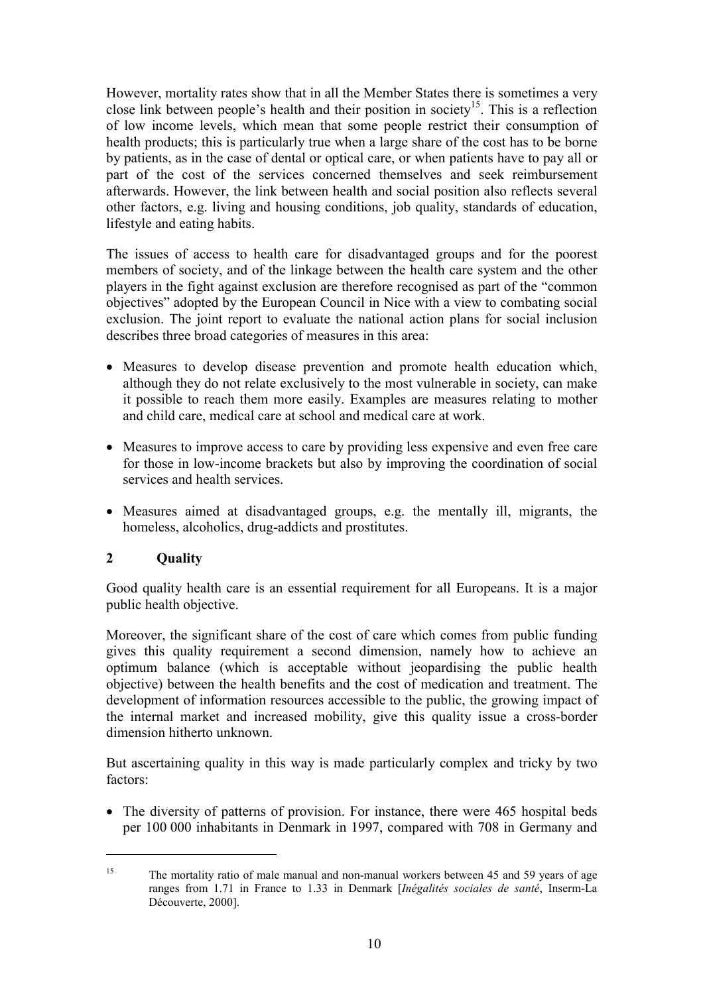However, mortality rates show that in all the Member States there is sometimes a very close link between people's health and their position in society<sup>15</sup>. This is a reflection of low income levels, which mean that some people restrict their consumption of health products; this is particularly true when a large share of the cost has to be borne by patients, as in the case of dental or optical care, or when patients have to pay all or part of the cost of the services concerned themselves and seek reimbursement afterwards. However, the link between health and social position also reflects several other factors, e.g. living and housing conditions, job quality, standards of education, lifestyle and eating habits.

The issues of access to health care for disadvantaged groups and for the poorest members of society, and of the linkage between the health care system and the other players in the fight against exclusion are therefore recognised as part of the "common objectives" adopted by the European Council in Nice with a view to combating social exclusion. The joint report to evaluate the national action plans for social inclusion describes three broad categories of measures in this area:

- Measures to develop disease prevention and promote health education which, although they do not relate exclusively to the most vulnerable in society, can make it possible to reach them more easily. Examples are measures relating to mother and child care, medical care at school and medical care at work.
- Measures to improve access to care by providing less expensive and even free care for those in low-income brackets but also by improving the coordination of social services and health services.
- Measures aimed at disadvantaged groups, e.g. the mentally ill, migrants, the homeless, alcoholics, drug-addicts and prostitutes.

# **2 Quality**

 $\overline{a}$ 

Good quality health care is an essential requirement for all Europeans. It is a major public health objective.

Moreover, the significant share of the cost of care which comes from public funding gives this quality requirement a second dimension, namely how to achieve an optimum balance (which is acceptable without jeopardising the public health objective) between the health benefits and the cost of medication and treatment. The development of information resources accessible to the public, the growing impact of the internal market and increased mobility, give this quality issue a cross-border dimension hitherto unknown.

But ascertaining quality in this way is made particularly complex and tricky by two factors:

• The diversity of patterns of provision. For instance, there were 465 hospital beds per 100 000 inhabitants in Denmark in 1997, compared with 708 in Germany and

<sup>&</sup>lt;sup>15</sup> The mortality ratio of male manual and non-manual workers between 45 and 59 years of age ranges from 1.71 in France to 1.33 in Denmark [*Inégalités sociales de santé*, Inserm-La Découverte, 2000].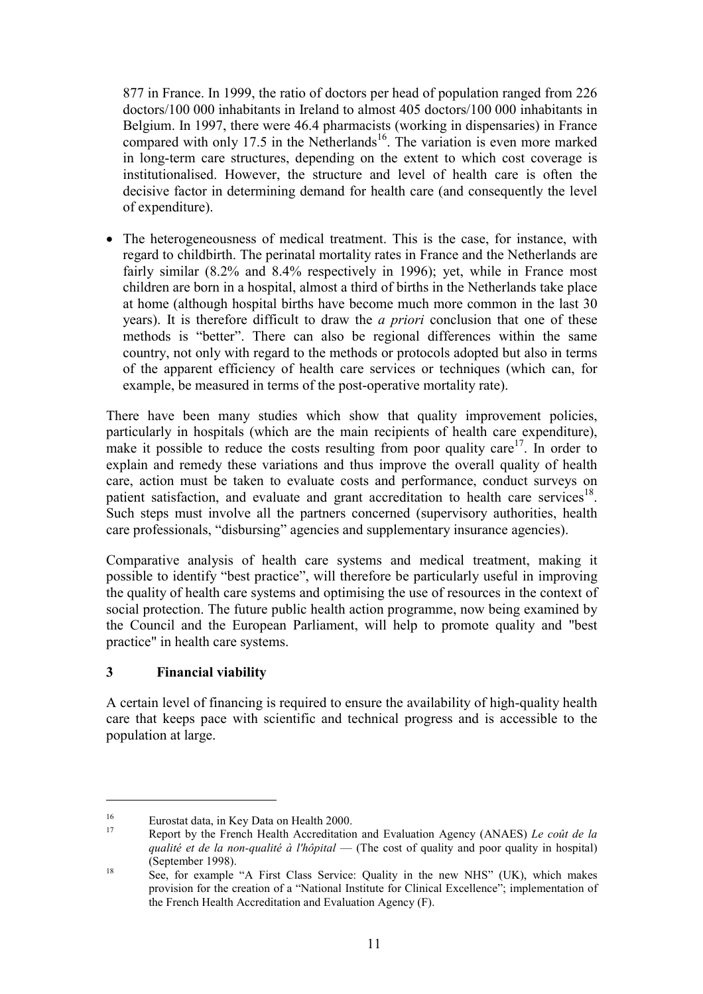877 in France. In 1999, the ratio of doctors per head of population ranged from 226 doctors/100 000 inhabitants in Ireland to almost 405 doctors/100 000 inhabitants in Belgium. In 1997, there were 46.4 pharmacists (working in dispensaries) in France compared with only 17.5 in the Netherlands<sup>16</sup>. The variation is even more marked in long-term care structures, depending on the extent to which cost coverage is institutionalised. However, the structure and level of health care is often the decisive factor in determining demand for health care (and consequently the level of expenditure).

• The heterogeneousness of medical treatment. This is the case, for instance, with regard to childbirth. The perinatal mortality rates in France and the Netherlands are fairly similar (8.2% and 8.4% respectively in 1996); yet, while in France most children are born in a hospital, almost a third of births in the Netherlands take place at home (although hospital births have become much more common in the last 30 years). It is therefore difficult to draw the *a priori* conclusion that one of these methods is "better". There can also be regional differences within the same country, not only with regard to the methods or protocols adopted but also in terms of the apparent efficiency of health care services or techniques (which can, for example, be measured in terms of the post-operative mortality rate).

There have been many studies which show that quality improvement policies, particularly in hospitals (which are the main recipients of health care expenditure), make it possible to reduce the costs resulting from poor quality care<sup>17</sup>. In order to explain and remedy these variations and thus improve the overall quality of health care, action must be taken to evaluate costs and performance, conduct surveys on patient satisfaction, and evaluate and grant accreditation to health care services<sup>18</sup>. Such steps must involve all the partners concerned (supervisory authorities, health care professionals, "disbursing" agencies and supplementary insurance agencies).

Comparative analysis of health care systems and medical treatment, making it possible to identify "best practice", will therefore be particularly useful in improving the quality of health care systems and optimising the use of resources in the context of social protection. The future public health action programme, now being examined by the Council and the European Parliament, will help to promote quality and "best practice" in health care systems.

# **3 Financial viability**

 $\overline{a}$ 

A certain level of financing is required to ensure the availability of high-quality health care that keeps pace with scientific and technical progress and is accessible to the population at large.

<sup>&</sup>lt;sup>16</sup> Eurostat data, in Key Data on Health 2000.<br><sup>17</sup> Report by the French Health Accreditation and Evaluation Agency (ANAES) *Le coût de la qualité et de la non-qualité à l'hôpital* — (The cost of quality and poor quality in hospital) (September 1998).<br><sup>18</sup> See, for example "A First Class Service: Quality in the new NHS" (UK), which makes

provision for the creation of a "National Institute for Clinical Excellence"; implementation of the French Health Accreditation and Evaluation Agency (F).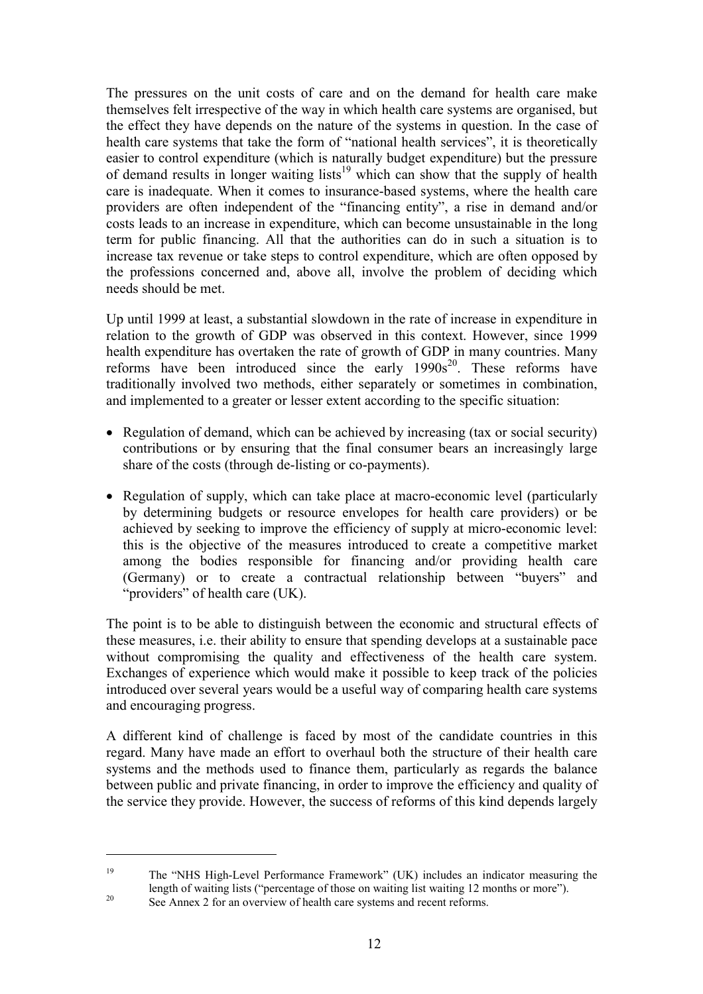The pressures on the unit costs of care and on the demand for health care make themselves felt irrespective of the way in which health care systems are organised, but the effect they have depends on the nature of the systems in question. In the case of health care systems that take the form of "national health services", it is theoretically easier to control expenditure (which is naturally budget expenditure) but the pressure of demand results in longer waiting lists<sup>19</sup> which can show that the supply of health care is inadequate. When it comes to insurance-based systems, where the health care providers are often independent of the "financing entity", a rise in demand and/or costs leads to an increase in expenditure, which can become unsustainable in the long term for public financing. All that the authorities can do in such a situation is to increase tax revenue or take steps to control expenditure, which are often opposed by the professions concerned and, above all, involve the problem of deciding which needs should be met.

Up until 1999 at least, a substantial slowdown in the rate of increase in expenditure in relation to the growth of GDP was observed in this context. However, since 1999 health expenditure has overtaken the rate of growth of GDP in many countries. Many reforms have been introduced since the early  $1990s^{20}$ . These reforms have traditionally involved two methods, either separately or sometimes in combination, and implemented to a greater or lesser extent according to the specific situation:

- Regulation of demand, which can be achieved by increasing (tax or social security) contributions or by ensuring that the final consumer bears an increasingly large share of the costs (through de-listing or co-payments).
- Regulation of supply, which can take place at macro-economic level (particularly by determining budgets or resource envelopes for health care providers) or be achieved by seeking to improve the efficiency of supply at micro-economic level: this is the objective of the measures introduced to create a competitive market among the bodies responsible for financing and/or providing health care (Germany) or to create a contractual relationship between "buyers" and "providers" of health care (UK).

The point is to be able to distinguish between the economic and structural effects of these measures, i.e. their ability to ensure that spending develops at a sustainable pace without compromising the quality and effectiveness of the health care system. Exchanges of experience which would make it possible to keep track of the policies introduced over several years would be a useful way of comparing health care systems and encouraging progress.

A different kind of challenge is faced by most of the candidate countries in this regard. Many have made an effort to overhaul both the structure of their health care systems and the methods used to finance them, particularly as regards the balance between public and private financing, in order to improve the efficiency and quality of the service they provide. However, the success of reforms of this kind depends largely

<sup>19</sup> The "NHS High-Level Performance Framework" (UK) includes an indicator measuring the length of waiting lists ("percentage of those on waiting list waiting 12 months or more").<br>See Annex 2 for an overview of health care systems and recent reforms.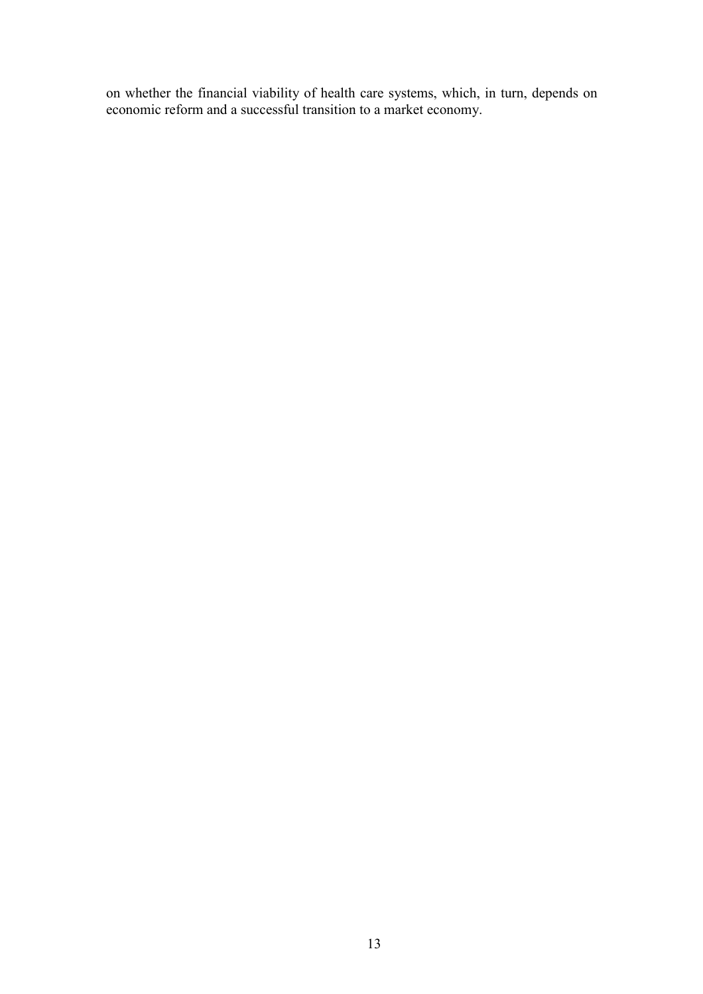on whether the financial viability of health care systems, which, in turn, depends on economic reform and a successful transition to a market economy.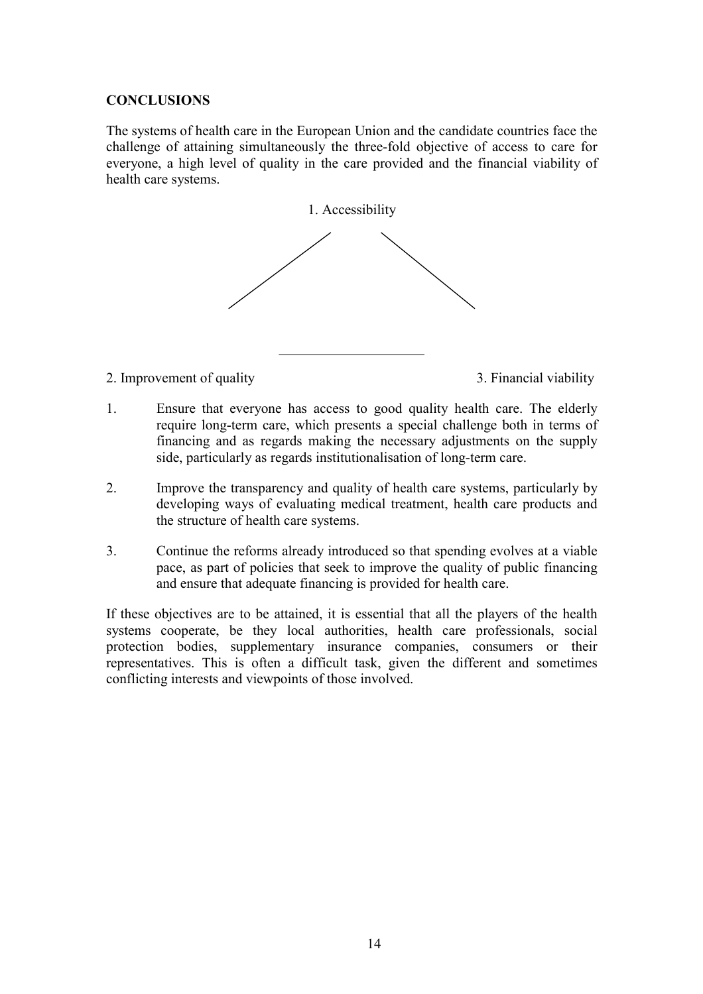#### **CONCLUSIONS**

The systems of health care in the European Union and the candidate countries face the challenge of attaining simultaneously the three-fold objective of access to care for everyone, a high level of quality in the care provided and the financial viability of health care systems.



2. Improvement of quality 3. Financial viability

- 1. Ensure that everyone has access to good quality health care. The elderly require long-term care, which presents a special challenge both in terms of financing and as regards making the necessary adjustments on the supply side, particularly as regards institutionalisation of long-term care.
- 2. Improve the transparency and quality of health care systems, particularly by developing ways of evaluating medical treatment, health care products and the structure of health care systems.
- 3. Continue the reforms already introduced so that spending evolves at a viable pace, as part of policies that seek to improve the quality of public financing and ensure that adequate financing is provided for health care.

If these objectives are to be attained, it is essential that all the players of the health systems cooperate, be they local authorities, health care professionals, social protection bodies, supplementary insurance companies, consumers or their representatives. This is often a difficult task, given the different and sometimes conflicting interests and viewpoints of those involved.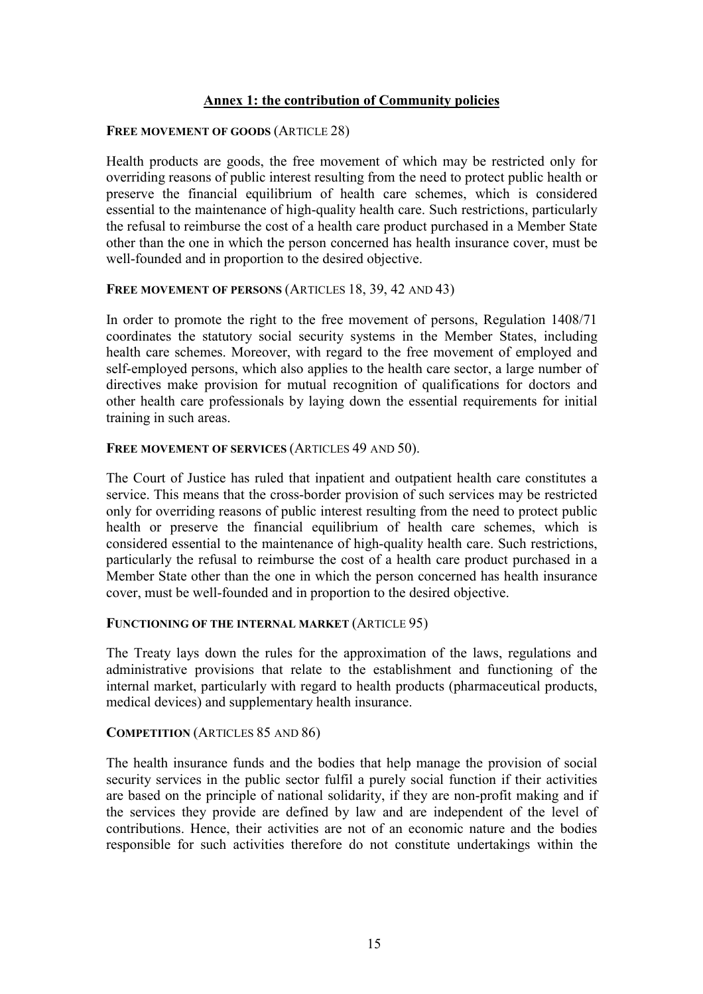#### **Annex 1: the contribution of Community policies**

#### **FREE MOVEMENT OF GOODS** (ARTICLE 28)

Health products are goods, the free movement of which may be restricted only for overriding reasons of public interest resulting from the need to protect public health or preserve the financial equilibrium of health care schemes, which is considered essential to the maintenance of high-quality health care. Such restrictions, particularly the refusal to reimburse the cost of a health care product purchased in a Member State other than the one in which the person concerned has health insurance cover, must be well-founded and in proportion to the desired objective.

#### FREE MOVEMENT OF PERSONS (ARTICLES 18, 39, 42 AND 43)

In order to promote the right to the free movement of persons, Regulation 1408/71 coordinates the statutory social security systems in the Member States, including health care schemes. Moreover, with regard to the free movement of employed and self-employed persons, which also applies to the health care sector, a large number of directives make provision for mutual recognition of qualifications for doctors and other health care professionals by laying down the essential requirements for initial training in such areas.

#### FREE MOVEMENT OF SERVICES (ARTICLES 49 AND 50).

The Court of Justice has ruled that inpatient and outpatient health care constitutes a service. This means that the cross-border provision of such services may be restricted only for overriding reasons of public interest resulting from the need to protect public health or preserve the financial equilibrium of health care schemes, which is considered essential to the maintenance of high-quality health care. Such restrictions, particularly the refusal to reimburse the cost of a health care product purchased in a Member State other than the one in which the person concerned has health insurance cover, must be well-founded and in proportion to the desired objective.

#### **FUNCTIONING OF THE INTERNAL MARKET** (ARTICLE 95)

The Treaty lays down the rules for the approximation of the laws, regulations and administrative provisions that relate to the establishment and functioning of the internal market, particularly with regard to health products (pharmaceutical products, medical devices) and supplementary health insurance.

#### **COMPETITION** (ARTICLES 85 AND 86)

The health insurance funds and the bodies that help manage the provision of social security services in the public sector fulfil a purely social function if their activities are based on the principle of national solidarity, if they are non-profit making and if the services they provide are defined by law and are independent of the level of contributions. Hence, their activities are not of an economic nature and the bodies responsible for such activities therefore do not constitute undertakings within the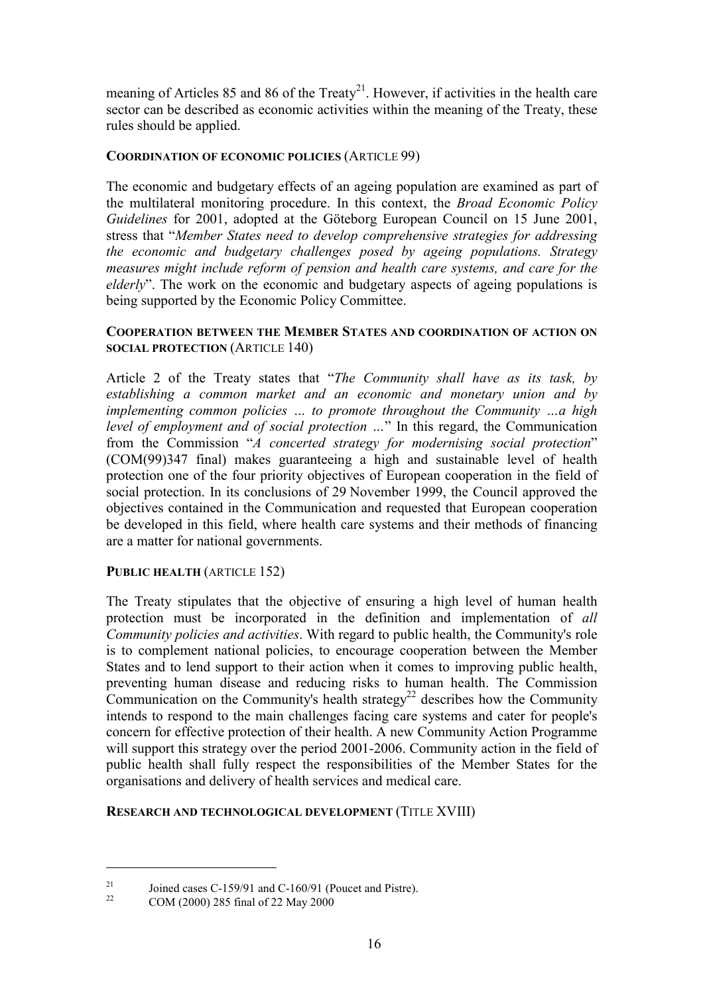meaning of Articles 85 and 86 of the Treaty<sup>21</sup>. However, if activities in the health care sector can be described as economic activities within the meaning of the Treaty, these rules should be applied.

#### **COORDINATION OF ECONOMIC POLICIES** (ARTICLE 99)

The economic and budgetary effects of an ageing population are examined as part of the multilateral monitoring procedure. In this context, the *Broad Economic Policy Guidelines* for 2001, adopted at the Göteborg European Council on 15 June 2001, stress that "*Member States need to develop comprehensive strategies for addressing the economic and budgetary challenges posed by ageing populations. Strategy measures might include reform of pension and health care systems, and care for the elderly*". The work on the economic and budgetary aspects of ageing populations is being supported by the Economic Policy Committee.

#### **COOPERATION BETWEEN THE MEMBER STATES AND COORDINATION OF ACTION ON SOCIAL PROTECTION** (ARTICLE 140)

Article 2 of the Treaty states that "*The Community shall have as its task, by establishing a common market and an economic and monetary union and by implementing common policies … to promote throughout the Community …a high level of employment and of social protection …*" In this regard, the Communication from the Commission "*A concerted strategy for modernising social protection*" (COM(99)347 final) makes guaranteeing a high and sustainable level of health protection one of the four priority objectives of European cooperation in the field of social protection. In its conclusions of 29 November 1999, the Council approved the objectives contained in the Communication and requested that European cooperation be developed in this field, where health care systems and their methods of financing are a matter for national governments.

#### PUBLIC HEALTH (ARTICLE 152)

The Treaty stipulates that the objective of ensuring a high level of human health protection must be incorporated in the definition and implementation of *all Community policies and activities*. With regard to public health, the Community's role is to complement national policies, to encourage cooperation between the Member States and to lend support to their action when it comes to improving public health, preventing human disease and reducing risks to human health. The Commission Communication on the Community's health strategy<sup>22</sup> describes how the Community intends to respond to the main challenges facing care systems and cater for people's concern for effective protection of their health. A new Community Action Programme will support this strategy over the period 2001-2006. Community action in the field of public health shall fully respect the responsibilities of the Member States for the organisations and delivery of health services and medical care.

#### **RESEARCH AND TECHNOLOGICAL DEVELOPMENT** (TITLE XVIII)

<sup>&</sup>lt;sup>21</sup> Joined cases C-159/91 and C-160/91 (Poucet and Pistre).<br>
COM (2000) 285 final of 22 May 2000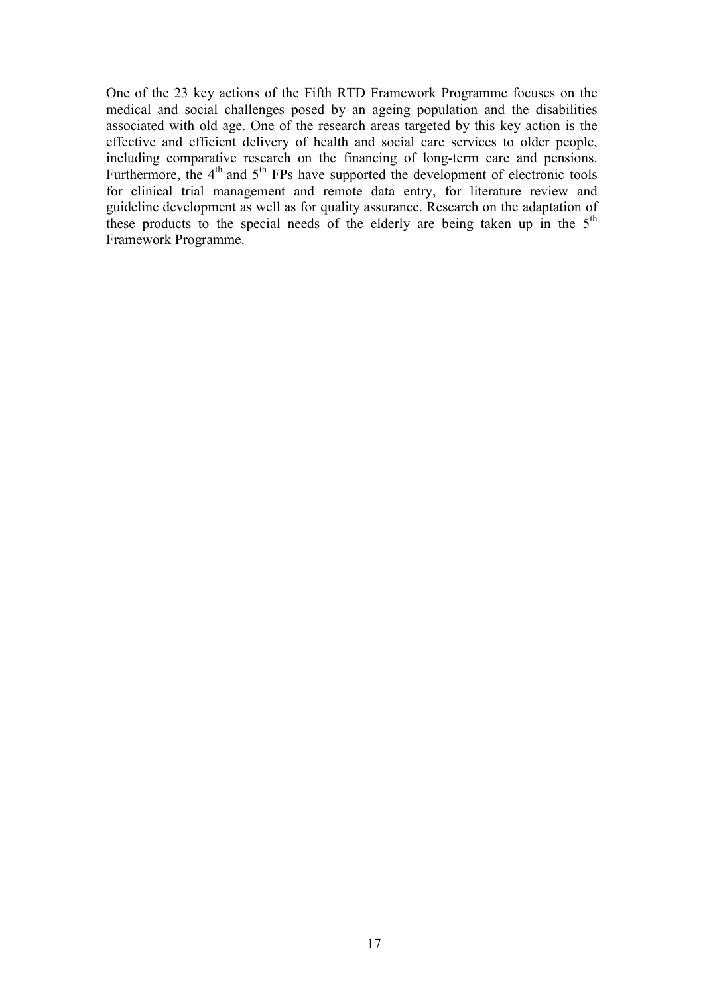One of the 23 key actions of the Fifth RTD Framework Programme focuses on the medical and social challenges posed by an ageing population and the disabilities associated with old age. One of the research areas targeted by this key action is the effective and efficient delivery of health and social care services to older people, including comparative research on the financing of long-term care and pensions. Furthermore, the  $4<sup>th</sup>$  and  $5<sup>th</sup>$  FPs have supported the development of electronic tools for clinical trial management and remote data entry, for literature review and guideline development as well as for quality assurance. Research on the adaptation of these products to the special needs of the elderly are being taken up in the 5<sup>th</sup> Framework Programme.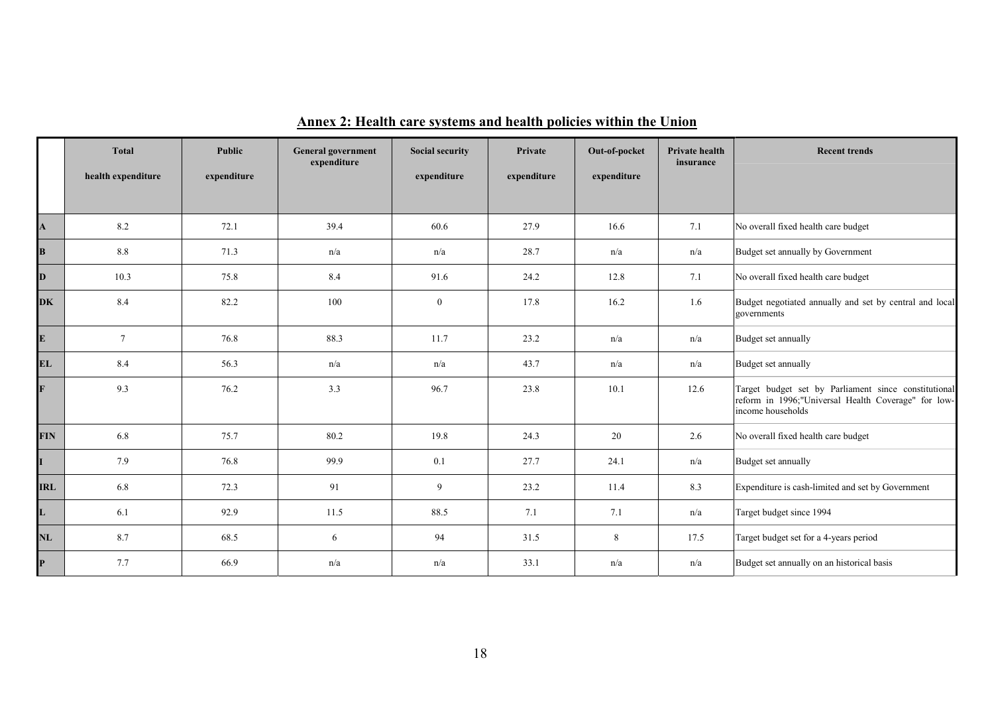|              | <b>Total</b>       | Public      | <b>General government</b><br>expenditure | <b>Social security</b> | Private     | Out-of-pocket | <b>Private health</b><br>insurance | <b>Recent trends</b>                                                                                                             |
|--------------|--------------------|-------------|------------------------------------------|------------------------|-------------|---------------|------------------------------------|----------------------------------------------------------------------------------------------------------------------------------|
|              | health expenditure | expenditure |                                          | expenditure            | expenditure | expenditure   |                                    |                                                                                                                                  |
|              |                    |             |                                          |                        |             |               |                                    |                                                                                                                                  |
| $\mathbf{A}$ | 8.2                | 72.1        | 39.4                                     | 60.6                   | 27.9        | 16.6          | 7.1                                | No overall fixed health care budget                                                                                              |
| B            | $8.8\,$            | 71.3        | n/a                                      | n/a                    | 28.7        | n/a           | n/a                                | Budget set annually by Government                                                                                                |
| D            | 10.3               | 75.8        | 8.4                                      | 91.6                   | 24.2        | 12.8          | 7.1                                | No overall fixed health care budget                                                                                              |
| <b>DK</b>    | 8.4                | 82.2        | 100                                      | $\overline{0}$         | 17.8        | 16.2          | 1.6                                | Budget negotiated annually and set by central and local<br>governments                                                           |
| ${\bf E}$    | $7\overline{ }$    | 76.8        | 88.3                                     | 11.7                   | 23.2        | n/a           | n/a                                | Budget set annually                                                                                                              |
| <b>EL</b>    | 8.4                | 56.3        | n/a                                      | n/a                    | 43.7        | n/a           | n/a                                | Budget set annually                                                                                                              |
| $\mathbf{F}$ | 9.3                | 76.2        | 3.3                                      | 96.7                   | 23.8        | 10.1          | 12.6                               | Target budget set by Parliament since constitutional<br>reform in 1996;"Universal Health Coverage" for low-<br>income households |
| <b>FIN</b>   | 6.8                | 75.7        | 80.2                                     | 19.8                   | 24.3        | 20            | 2.6                                | No overall fixed health care budget                                                                                              |
| $\mathbf{I}$ | 7.9                | 76.8        | 99.9                                     | 0.1                    | 27.7        | 24.1          | n/a                                | Budget set annually                                                                                                              |
| <b>IRL</b>   | 6.8                | 72.3        | 91                                       | 9                      | 23.2        | 11.4          | 8.3                                | Expenditure is cash-limited and set by Government                                                                                |
| L            | 6.1                | 92.9        | 11.5                                     | 88.5                   | 7.1         | 7.1           | n/a                                | Target budget since 1994                                                                                                         |
| <b>NL</b>    | 8.7                | 68.5        | 6                                        | 94                     | 31.5        | 8             | 17.5                               | Target budget set for a 4-years period                                                                                           |
| $\mathbf{P}$ | 7.7                | 66.9        | n/a                                      | n/a                    | 33.1        | n/a           | n/a                                | Budget set annually on an historical basis                                                                                       |

# **Annex 2: Health care systems and health policies within the Union**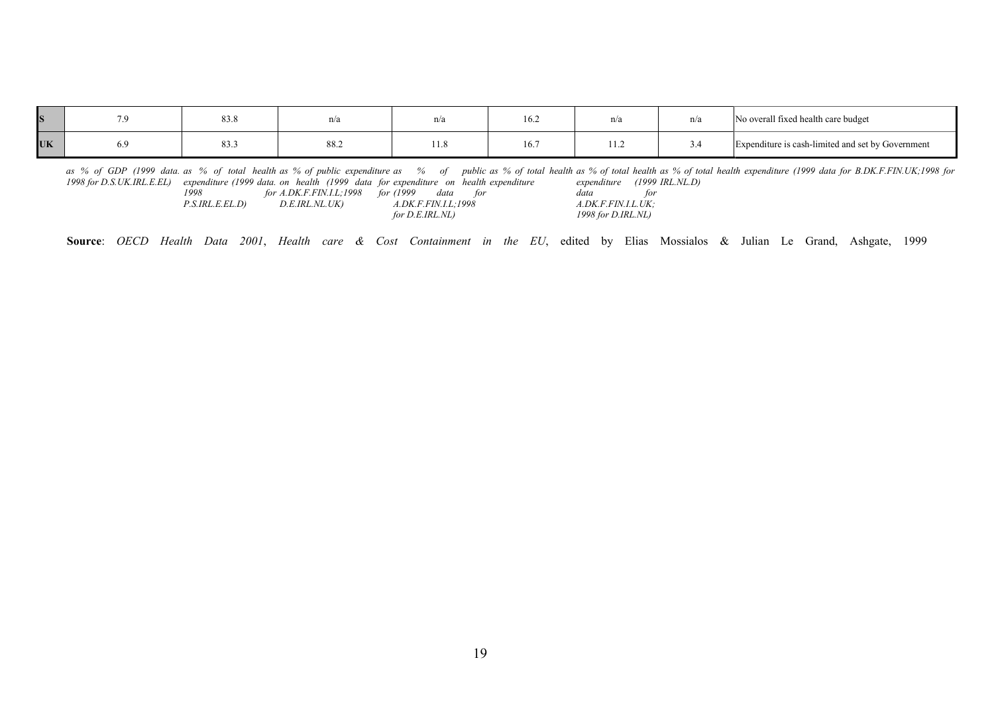|                  | 83.8            |      | n/a  | 16.2 | 11/d | пла | No overall fixed health care budget               |
|------------------|-----------------|------|------|------|------|-----|---------------------------------------------------|
| <b>TTZ</b><br>UN | $\circ$<br>65.5 | 88.2 | 11.0 | 16.7 | .    |     | Expenditure is cash-limited and set by Government |

as % of GDP (1999 data. as % of total health as % of public expenditure as % of public as % of total health as % of total health as % of total health expenditure (1999 data for B.DK.F.FIN.UK;1998 for *1998 for D.S.UK.IRL.E.EL) expenditure (1999 data. on health (1999 data for expenditure on health expenditure expenditure (1999 IRL.NL.D)*

| 1998            | for A.DK.F.FIN.I.L;1998 for (1999 | data<br><i>tor</i>   | for<br>data        |
|-----------------|-----------------------------------|----------------------|--------------------|
| P.S.IRL.E.EL.D) | D.E.IRL.NL.UK)                    | A.DK.F.FIN.I.L. 1998 | A.DK.F.FIN.I.L.UK; |
|                 |                                   | for D.E.IRL.NL)      | 1998 for D.IRL.NL) |

**Source**: *OECD Health Data 2001*, *Health care & Cost Containment in the EU*, edited by Elias Mossialos & Julian Le Grand, Ashgate, 1999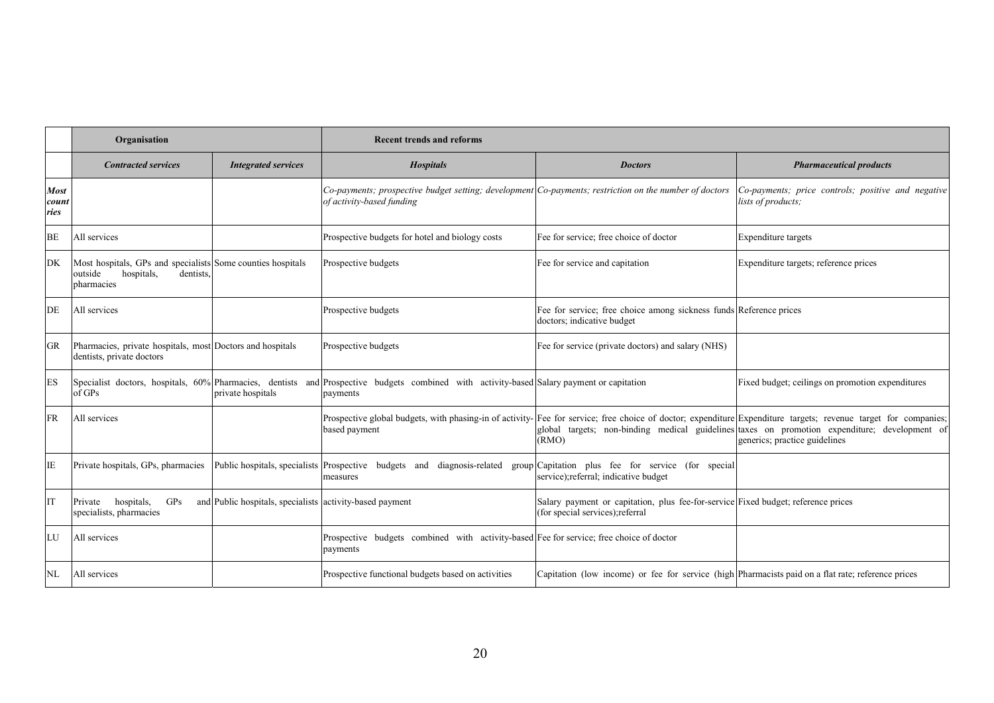|                              | Organisation                                                                                                                                                             | <b>Recent trends and reforms</b>                                                                                                                                                 |                                                                                                                       |                                                                                                                                |  |
|------------------------------|--------------------------------------------------------------------------------------------------------------------------------------------------------------------------|----------------------------------------------------------------------------------------------------------------------------------------------------------------------------------|-----------------------------------------------------------------------------------------------------------------------|--------------------------------------------------------------------------------------------------------------------------------|--|
|                              | <b>Contracted services</b><br><b>Integrated services</b>                                                                                                                 | <b>Hospitals</b>                                                                                                                                                                 | <b>Doctors</b>                                                                                                        | <b>Pharmaceutical products</b>                                                                                                 |  |
| <b>Most</b><br>count<br>ries |                                                                                                                                                                          | Co-payments; prospective budget setting; development Co-payments; restriction on the number of doctors<br>of activity-based funding                                              |                                                                                                                       | Co-payments; price controls; positive and negative<br>lists of products;                                                       |  |
| BE                           | All services                                                                                                                                                             | Prospective budgets for hotel and biology costs                                                                                                                                  | Fee for service; free choice of doctor                                                                                | Expenditure targets                                                                                                            |  |
| DK                           | Most hospitals, GPs and specialists Some counties hospitals<br>outside<br>hospitals,<br>dentists.<br>pharmacies                                                          | Prospective budgets                                                                                                                                                              | Fee for service and capitation                                                                                        | Expenditure targets; reference prices                                                                                          |  |
| DE                           | All services                                                                                                                                                             | Prospective budgets                                                                                                                                                              | Fee for service; free choice among sickness funds Reference prices<br>doctors; indicative budget                      |                                                                                                                                |  |
| <b>GR</b>                    | Pharmacies, private hospitals, most Doctors and hospitals<br>dentists, private doctors                                                                                   | Prospective budgets                                                                                                                                                              | Fee for service (private doctors) and salary (NHS)                                                                    |                                                                                                                                |  |
| ES                           | Specialist doctors, hospitals, 60% Pharmacies, dentists and Prospective budgets combined with activity-based Salary payment or capitation<br>of GPs<br>private hospitals | payments                                                                                                                                                                         |                                                                                                                       | Fixed budget; ceilings on promotion expenditures                                                                               |  |
| FR                           | All services                                                                                                                                                             | Prospective global budgets, with phasing-in of activity- Fee for service; free choice of doctor; expenditure Expenditure targets; revenue target for companies;<br>based payment | (RMO)                                                                                                                 | global targets; non-binding medical guidelines taxes on promotion expenditure; development of<br>generics; practice guidelines |  |
| IE                           | Private hospitals, GPs, pharmacies                                                                                                                                       | Public hospitals, specialists Prospective budgets and diagnosis-related<br>measures                                                                                              | group Capitation plus fee for service (for special<br>service); referral; indicative budget                           |                                                                                                                                |  |
| <b>IT</b>                    | and Public hospitals, specialists activity-based payment<br>hospitals,<br>GPS<br>Private<br>specialists, pharmacies                                                      |                                                                                                                                                                                  | Salary payment or capitation, plus fee-for-service Fixed budget; reference prices<br>(for special services); referral |                                                                                                                                |  |
| LU                           | All services                                                                                                                                                             | Prospective budgets combined with activity-based Fee for service; free choice of doctor<br>payments                                                                              |                                                                                                                       |                                                                                                                                |  |
| NL                           | All services                                                                                                                                                             | Prospective functional budgets based on activities                                                                                                                               | Capitation (low income) or fee for service (high Pharmacists paid on a flat rate; reference prices                    |                                                                                                                                |  |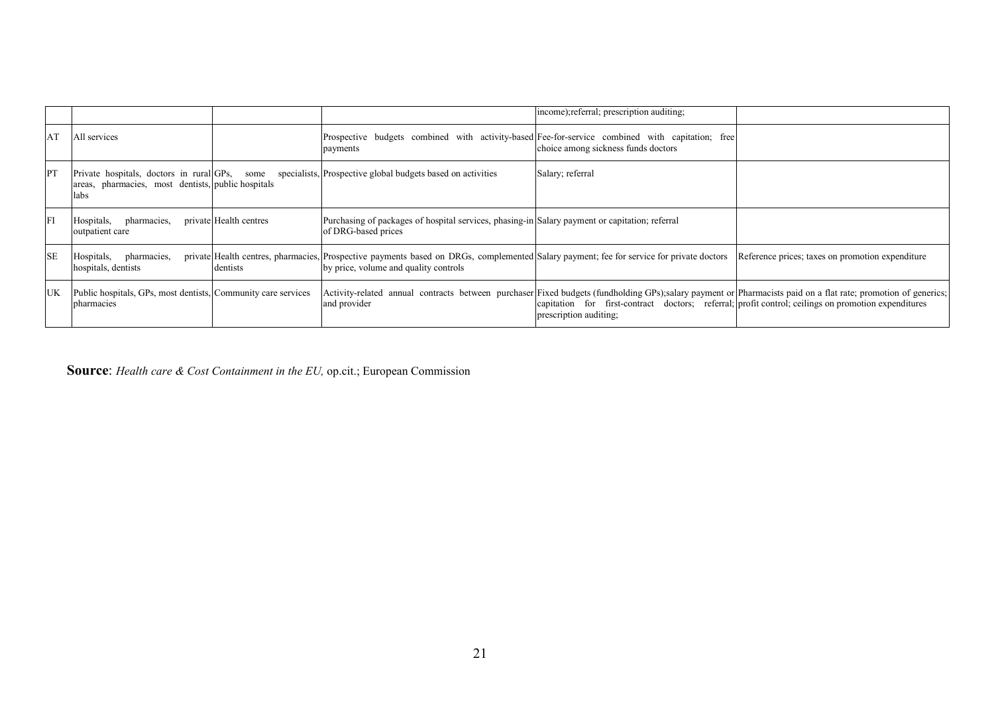|           |                                                                             |                        |                                                                                                                                                                                   | income); referral; prescription auditing;                                                                                     |                                                                                                                                                               |
|-----------|-----------------------------------------------------------------------------|------------------------|-----------------------------------------------------------------------------------------------------------------------------------------------------------------------------------|-------------------------------------------------------------------------------------------------------------------------------|---------------------------------------------------------------------------------------------------------------------------------------------------------------|
| AT        | All services                                                                |                        | Prospective budgets combined with activity-based Fee-for-service combined with capitation; free<br>payments                                                                       | choice among sickness funds doctors                                                                                           |                                                                                                                                                               |
| PT        | areas, pharmacies, most dentists, public hospitals<br>labs                  |                        | Private hospitals, doctors in rural GPs, some specialists, Prospective global budgets based on activities                                                                         | Salary; referral                                                                                                              |                                                                                                                                                               |
| FI        | pharmacies,<br>Hospitals,<br>outpatient care                                | private Health centres | Purchasing of packages of hospital services, phasing-in Salary payment or capitation; referral<br>of DRG-based prices                                                             |                                                                                                                               |                                                                                                                                                               |
| <b>SE</b> | Hospitals, pharmacies,<br>hospitals, dentists                               | dentists               | private Health centres, pharmacies, Prospective payments based on DRGs, complemented Salary payment; fee for service for private doctors<br>by price, volume and quality controls |                                                                                                                               | Reference prices; taxes on promotion expenditure                                                                                                              |
| <b>UK</b> | Public hospitals, GPs, most dentists, Community care services<br>pharmacies |                        | and provider                                                                                                                                                                      | capitation for first-contract doctors; referral; profit control; ceilings on promotion expenditures<br>prescription auditing; | Activity-related annual contracts between purchaser Fixed budgets (fundholding GPs);salary payment or Pharmacists paid on a flat rate; promotion of generics; |

**Source**: *Health care & Cost Containment in the EU,* op.cit.; European Commission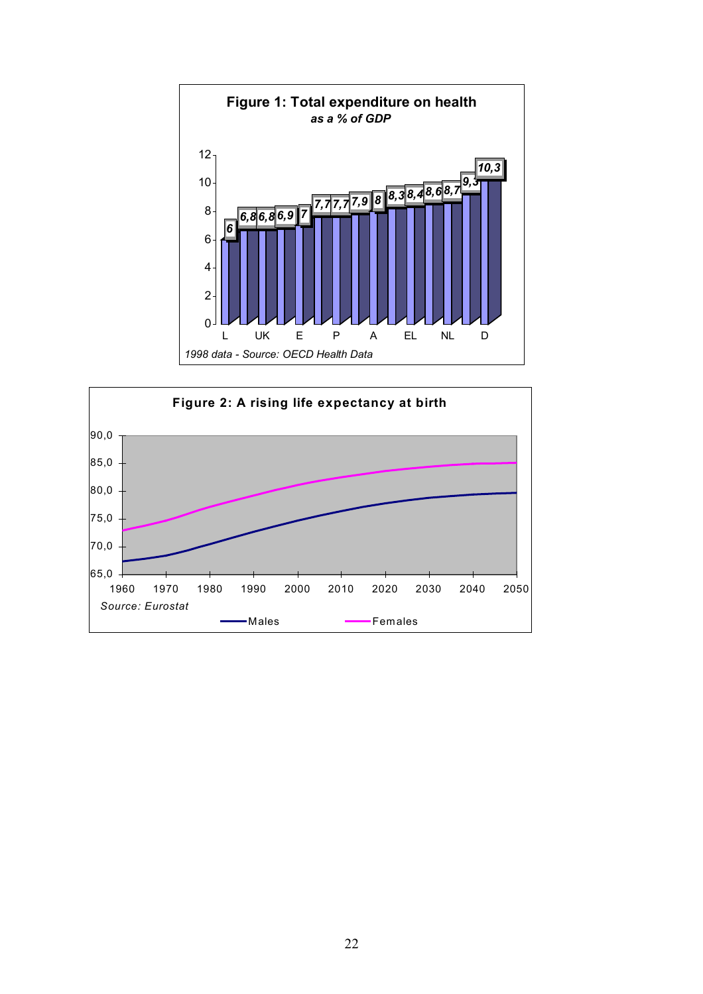